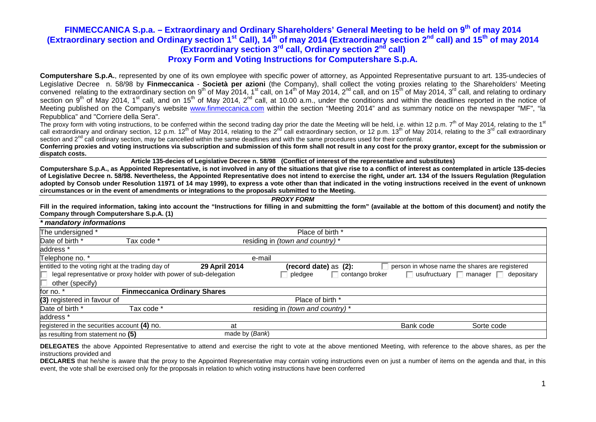**Computershare S.p.A.**, represented by one of its own employee with specific power of attorney, as Appointed Representative pursuant to art. 135-undecies of Legislative Decree n. 58/98 by **Finmeccanica** - **Società per azioni** (the Company), shall collect the voting proxies relating to the Shareholders' Meeting convened relating to the extraordinary section on 9<sup>th</sup> of May 2014, 1<sup>st</sup> call, on 14<sup>th</sup> of May 2014, 2<sup>nd</sup> call, and on 15<sup>th</sup> of May 2014, 3<sup>rd</sup> call, and relating to ordinary<br>section on 9<sup>th</sup> of May 2014, 1<sup>st</sup> call, Meeting published on the Company's website www.finmeccanica.com within the section "Meeting 2014" and as summary notice on the newspaper "MF", "la Repubblica" and "Corriere della Sera".

The proxy form with voting instructions, to be conferred within the second trading day prior the date the Meeting will be held, i.e. within 12 p.m. 7<sup>th</sup> of May 2014, relating to the 1<sup>st</sup> call extraordinary and ordinary section, 12 p.m.  $12<sup>th</sup>$  of May 2014, relating to the  $2<sup>nd</sup>$  call extraordinary section, or 12 p.m. 13<sup>th</sup> of May 2014, relating to the  $3<sup>rd</sup>$  for May 2014, relating to the  $3$ section and 2<sup>nd</sup> call ordinary section, may be cancelled within the same deadlines and with the same procedures used for their conferral.

 **Conferring proxies and voting instructions via subscription and submission of this form shall not result in any cost for the proxy grantor, except for the submission or dispatch costs.** 

**Article 135-decies of Legislative Decree n. 58/98 (Conflict of interest of the representative and substitutes)** 

 **Computershare S.p.A., as Appointed Representative, is not involved in any of the situations that give rise to a conflict of interest as contemplated in article 135-decies of Legislative Decree n. 58/98. Nevertheless, the Appointed Representative does not intend to exercise the right, under art. 134 of the Issuers Regulation (Regulation adopted by Consob under Resolution 11971 of 14 may 1999), to express a vote other than that indicated in the voting instructions received in the event of unknown circumstances or in the event of amendments or integrations to the proposals submitted to the Meeting.**

**PROXY FORM** 

Fill in the required information, taking into account the "Instructions for filling in and submitting the form" (available at the bottom of this document) and notify the **Company through Computershare S.p.A. (1)** 

| * mandatory informations                           |                                                                          |                |                                  |                 |           |                                                      |
|----------------------------------------------------|--------------------------------------------------------------------------|----------------|----------------------------------|-----------------|-----------|------------------------------------------------------|
| The undersigned *                                  |                                                                          |                | Place of birth *                 |                 |           |                                                      |
| Date of birth *                                    | Tax code *                                                               |                | residing in (town and country) * |                 |           |                                                      |
| address *                                          |                                                                          |                |                                  |                 |           |                                                      |
| Telephone no. *                                    |                                                                          | e-mail         |                                  |                 |           |                                                      |
| entitled to the voting right at the trading day of |                                                                          | 29 April 2014  | (record date) as (2):            |                 |           | person in whose name the shares are registered       |
|                                                    | $\Box$ legal representative or proxy holder with power of sub-delegation |                | pledgee                          | contango broker |           | $\Box$ usufructuary $\Box$ manager $\Box$ depositary |
| other (specify)                                    |                                                                          |                |                                  |                 |           |                                                      |
| for no. *                                          | <b>Finmeccanica Ordinary Shares</b>                                      |                |                                  |                 |           |                                                      |
| (3) registered in favour of                        |                                                                          |                | Place of birth *                 |                 |           |                                                      |
| Date of birth *                                    | Tax code *                                                               |                | residing in (town and country) * |                 |           |                                                      |
| address *                                          |                                                                          |                |                                  |                 |           |                                                      |
| registered in the securities account (4) no.       |                                                                          | at             |                                  |                 | Bank code | Sorte code                                           |
| as resulting from statement no (5)                 |                                                                          | made by (Bank) |                                  |                 |           |                                                      |

**DELEGATES** the above Appointed Representative to attend and exercise the right to vote at the above mentioned Meeting, with reference to the above shares, as per the instructions provided and

 **DECLARES** that he/she is aware that the proxy to the Appointed Representative may contain voting instructions even on just a number of items on the agenda and that, in this event, the vote shall be exercised only for the proposals in relation to which voting instructions have been conferred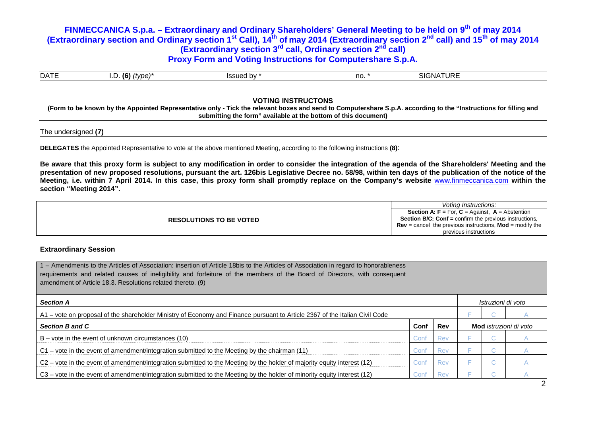| <b>DATE</b> | (6)<br>tvpe)<br>(… | Issued by | no | ATURE<br><b>SIGNA</b> |  |
|-------------|--------------------|-----------|----|-----------------------|--|

### **VOTING INSTRUCTONS**

 **(Form to be known by the Appointed Representative only - Tick the relevant boxes and send to Computershare S.p.A. according to the "Instructions for filling and submitting the form" available at the bottom of this document)** 

#### The undersigned **(7)**

**DELEGATES** the Appointed Representative to vote at the above mentioned Meeting, according to the following instructions **(8)**:

**Be aware that this proxy form is subject to any modification in order to consider the integration of the agenda of the Shareholders' Meeting and the presentation of new proposed resolutions, pursuant the art. 126bis Legislative Decree no. 58/98, within ten days of the publication of the notice of the Meeting, i.e. within 7 April 2014. In this case, this proxy form shall promptly replace on the Company's website** www.finmeccanica.com **within the section "Meeting 2014".** 

|                                | Votina Instructions:                                                   |
|--------------------------------|------------------------------------------------------------------------|
|                                | <b>Section A: F</b> = For, $C =$ Against, $A =$ Abstention             |
| <b>RESOLUTIONS TO BE VOTED</b> | <b>Section B/C: Conf = confirm the previous instructions.</b>          |
|                                | <b>Rev</b> = cancel the previous instructions, <b>Mod</b> = modify the |
|                                | previous instructions                                                  |
|                                |                                                                        |

### **Extraordinary Session**

| 1 – Amendments to the Articles of Association: insertion of Article 18bis to the Articles of Association in regard to honorableness<br>requirements and related causes of ineligibility and forfeiture of the members of the Board of Directors, with consequent<br>amendment of Article 18.3. Resolutions related thereto. (9) |      |            |  |  |                               |  |  |  |
|---------------------------------------------------------------------------------------------------------------------------------------------------------------------------------------------------------------------------------------------------------------------------------------------------------------------------------|------|------------|--|--|-------------------------------|--|--|--|
| <b>Section A</b>                                                                                                                                                                                                                                                                                                                |      |            |  |  | Istruzioni di voto            |  |  |  |
| A1 – vote on proposal of the shareholder Ministry of Economy and Finance pursuant to Article 2367 of the Italian Civil Code                                                                                                                                                                                                     |      |            |  |  |                               |  |  |  |
| <b>Section B and C</b>                                                                                                                                                                                                                                                                                                          | Conf | Rev        |  |  | <b>Mod</b> istruzioni di voto |  |  |  |
| $B$ – vote in the event of unknown circumstances (10)                                                                                                                                                                                                                                                                           | Conf | <b>Rev</b> |  |  |                               |  |  |  |
| C1 - vote in the event of amendment/integration submitted to the Meeting by the chairman (11)                                                                                                                                                                                                                                   | Conf | Rev        |  |  |                               |  |  |  |
| C2 – vote in the event of amendment/integration submitted to the Meeting by the holder of majority equity interest (12)                                                                                                                                                                                                         | Conf | Rev        |  |  |                               |  |  |  |
| C3 – vote in the event of amendment/integration submitted to the Meeting by the holder of minority equity interest (12)                                                                                                                                                                                                         | Conf | Rev        |  |  |                               |  |  |  |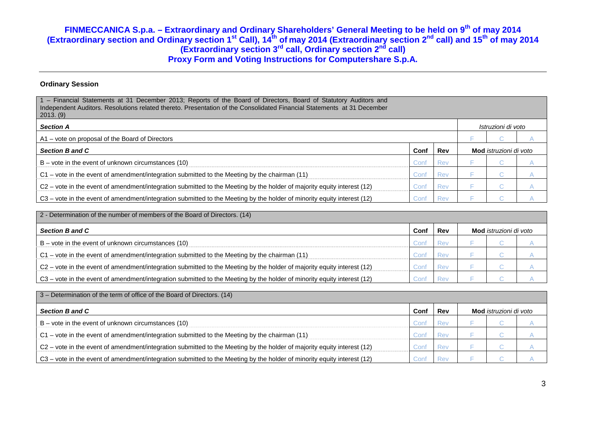### **Ordinary Session**

| 1 - Financial Statements at 31 December 2013; Reports of the Board of Directors, Board of Statutory Auditors and<br>Independent Auditors. Resolutions related thereto. Presentation of the Consolidated Financial Statements at 31 December<br>2013. (9) |      |     |  |                               |  |  |  |
|----------------------------------------------------------------------------------------------------------------------------------------------------------------------------------------------------------------------------------------------------------|------|-----|--|-------------------------------|--|--|--|
| <b>Section A</b>                                                                                                                                                                                                                                         |      |     |  | Istruzioni di voto            |  |  |  |
| A1 – vote on proposal of the Board of Directors                                                                                                                                                                                                          |      |     |  |                               |  |  |  |
| Section B and C                                                                                                                                                                                                                                          | Conf | Rev |  | <b>Mod</b> istruzioni di voto |  |  |  |
| $B$ – vote in the event of unknown circumstances (10)                                                                                                                                                                                                    | Conf | Rev |  | u.                            |  |  |  |
| C1 – vote in the event of amendment/integration submitted to the Meeting by the chairman (11)                                                                                                                                                            | Conf | Rev |  | $\sim$                        |  |  |  |
| C2 – vote in the event of amendment/integration submitted to the Meeting by the holder of majority equity interest (12)                                                                                                                                  | Conf | Rev |  | u.                            |  |  |  |
| (12) C3 – vote in the event of amendment/integration submitted to the Meeting by the holder of minority equity interest (12)                                                                                                                             | Conf | Rev |  | $\sim$                        |  |  |  |

| 2 - Determination of the number of members of the Board of Directors. (14)                                              |      |     |                               |  |  |  |  |
|-------------------------------------------------------------------------------------------------------------------------|------|-----|-------------------------------|--|--|--|--|
| Section B and C                                                                                                         | Conf | Rev | <b>Mod</b> istruzioni di voto |  |  |  |  |
| $B$ – vote in the event of unknown circumstances (10)                                                                   | ∴onf | Rev |                               |  |  |  |  |
| $C1$ – vote in the event of amendment/integration submitted to the Meeting by the chairman (11)                         | Con  | Rev |                               |  |  |  |  |
| C2 – vote in the event of amendment/integration submitted to the Meeting by the holder of majority equity interest (12) | Con  | Rev |                               |  |  |  |  |
| C3 – vote in the event of amendment/integration submitted to the Meeting by the holder of minority equity interest (12) | ∴on' | Rev |                               |  |  |  |  |

| 3 - Determination of the term of office of the Board of Directors. (14)                                                 |      |     |                               |  |  |  |  |
|-------------------------------------------------------------------------------------------------------------------------|------|-----|-------------------------------|--|--|--|--|
| <b>Section B and C</b>                                                                                                  | Conf | Rev | <b>Mod</b> istruzioni di voto |  |  |  |  |
| $B$ – vote in the event of unknown circumstances (10)                                                                   |      | Re١ |                               |  |  |  |  |
| C1 – vote in the event of amendment/integration submitted to the Meeting by the chairman (11)                           |      | Rei |                               |  |  |  |  |
| C2 - vote in the event of amendment/integration submitted to the Meeting by the holder of majority equity interest (12) | Con  | Rev |                               |  |  |  |  |
| C3 - vote in the event of amendment/integration submitted to the Meeting by the holder of minority equity interest (12) | :nn' | Rev |                               |  |  |  |  |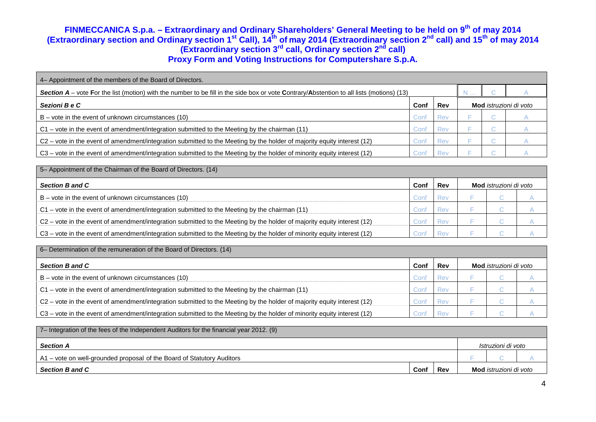| 4– Appointment of the members of the Board of Directors.                                                                                         |      |            |  |                               |  |  |  |  |
|--------------------------------------------------------------------------------------------------------------------------------------------------|------|------------|--|-------------------------------|--|--|--|--|
| <b>Section A</b> – vote For the list (motion) with the number to be fill in the side box or vote Contrary/Abstention to all lists (motions) (13) |      |            |  |                               |  |  |  |  |
| Sezioni B e C                                                                                                                                    | Conf | Rev        |  | Mod <i>istruzioni di voto</i> |  |  |  |  |
| $B$ – vote in the event of unknown circumstances (10)                                                                                            | Con  | Rev        |  |                               |  |  |  |  |
| C1 – vote in the event of amendment/integration submitted to the Meeting by the chairman (11)                                                    | Con  | <b>Rev</b> |  |                               |  |  |  |  |
| C2 – vote in the event of amendment/integration submitted to the Meeting by the holder of majority equity interest (12)                          | Con  | <b>Rev</b> |  |                               |  |  |  |  |
| C3 – vote in the event of amendment/integration submitted to the Meeting by the holder of minority equity interest (12)                          | Con' |            |  |                               |  |  |  |  |

| 5- Appointment of the Chairman of the Board of Directors. (14)                                                          |      |     |  |                               |  |
|-------------------------------------------------------------------------------------------------------------------------|------|-----|--|-------------------------------|--|
| <b>Section B and C</b>                                                                                                  | Conf | Rev |  | <b>Mod</b> istruzioni di voto |  |
| $B -$ vote in the event of unknown circumstances (10)                                                                   | Con  |     |  |                               |  |
| C1 – vote in the event of amendment/integration submitted to the Meeting by the chairman (11)                           |      | Rev |  |                               |  |
| C2 – vote in the event of amendment/integration submitted to the Meeting by the holder of majority equity interest (12) | انت  | Rev |  |                               |  |
| C3 – vote in the event of amendment/integration submitted to the Meeting by the holder of minority equity interest (12) | ∩∩.  |     |  |                               |  |

| 6– Determination of the remuneration of the Board of Directors. (14)                                                    |      |            |                               |  |  |  |  |
|-------------------------------------------------------------------------------------------------------------------------|------|------------|-------------------------------|--|--|--|--|
| Section B and C                                                                                                         | Conf | <b>Rev</b> | <b>Mod</b> istruzioni di voto |  |  |  |  |
| $B$ – vote in the event of unknown circumstances (10)                                                                   | Con′ | Rev        |                               |  |  |  |  |
| C1 - vote in the event of amendment/integration submitted to the Meeting by the chairman (11)                           | Con' | <b>Rev</b> |                               |  |  |  |  |
| C2 - vote in the event of amendment/integration submitted to the Meeting by the holder of majority equity interest (12) | Con' | <b>Rev</b> |                               |  |  |  |  |
| C3 – vote in the event of amendment/integration submitted to the Meeting by the holder of minority equity interest (12) | Con′ | <b>Rev</b> |                               |  |  |  |  |

| 7- Integration of the fees of the Independent Auditors for the financial year 2012. (9) |      |     |                               |                    |  |  |
|-----------------------------------------------------------------------------------------|------|-----|-------------------------------|--------------------|--|--|
| <b>Section A</b>                                                                        |      |     |                               | Istruzioni di voto |  |  |
| A1 - vote on well-grounded proposal of the Board of Statutory Auditors                  |      |     |                               |                    |  |  |
| <b>Section B and C</b>                                                                  | Conf | Rev | Mod <i>istruzioni di voto</i> |                    |  |  |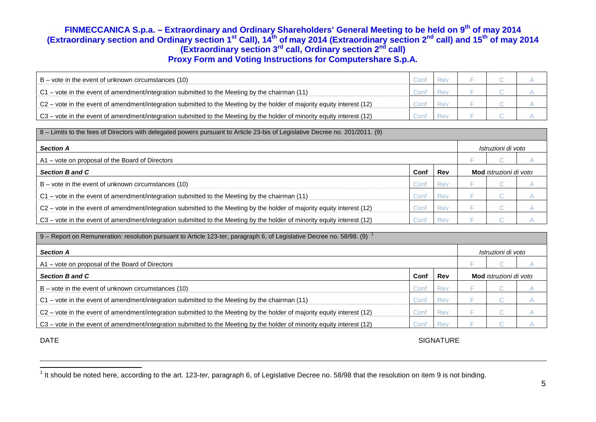| $B$ – vote in the event of unknown circumstances (10)                                                                   |  |  |  |
|-------------------------------------------------------------------------------------------------------------------------|--|--|--|
| C1 – vote in the event of amendment/integration submitted to the Meeting by the chairman (11)                           |  |  |  |
| C2 – vote in the event of amendment/integration submitted to the Meeting by the holder of majority equity interest (12) |  |  |  |
| C3 – vote in the event of amendment/integration submitted to the Meeting by the holder of minority equity interest (12) |  |  |  |

| 8 – Limits to the fees of Directors with delegated powers pursuant to Article 23-bis of Legislative Decree no. 201/2011. (9) |      |     |                               |   |                    |  |  |  |  |
|------------------------------------------------------------------------------------------------------------------------------|------|-----|-------------------------------|---|--------------------|--|--|--|--|
| <b>Section A</b>                                                                                                             |      |     |                               |   | Istruzioni di voto |  |  |  |  |
| A1 – vote on proposal of the Board of Directors                                                                              |      |     |                               |   |                    |  |  |  |  |
| <b>Section B and C</b>                                                                                                       | Conf | Rev | <b>Mod</b> istruzioni di voto |   |                    |  |  |  |  |
| $B$ – vote in the event of unknown circumstances (10)                                                                        | Conf | Rev |                               |   |                    |  |  |  |  |
| $C1$ – vote in the event of amendment/integration submitted to the Meeting by the chairman (11)                              | Con† | Rev |                               | u |                    |  |  |  |  |
| C2 - vote in the event of amendment/integration submitted to the Meeting by the holder of majority equity interest (12)      | Conf | Rev |                               |   |                    |  |  |  |  |
| C3 – vote in the event of amendment/integration submitted to the Meeting by the holder of minority equity interest (12)      | Cont | Rev |                               |   |                    |  |  |  |  |

| 9 - Report on Remuneration: resolution pursuant to Article 123-ter, paragraph 6, of Legislative Decree no. 58/98. (9)   |      |            |                               |     |                    |  |  |  |  |
|-------------------------------------------------------------------------------------------------------------------------|------|------------|-------------------------------|-----|--------------------|--|--|--|--|
| <b>Section A</b>                                                                                                        |      |            |                               |     | Istruzioni di voto |  |  |  |  |
| A1 – vote on proposal of the Board of Directors                                                                         |      |            |                               |     |                    |  |  |  |  |
| <b>Section B and C</b>                                                                                                  | Conf | Rev        | Mod <i>istruzioni di voto</i> |     |                    |  |  |  |  |
| $B$ – vote in the event of unknown circumstances (10)                                                                   | Con' | <b>Rev</b> |                               | . . |                    |  |  |  |  |
| C1 – vote in the event of amendment/integration submitted to the Meeting by the chairman (11)                           | Conf | Rev        |                               | . . |                    |  |  |  |  |
| C2 – vote in the event of amendment/integration submitted to the Meeting by the holder of majority equity interest (12) | Conf | <b>Rev</b> |                               |     |                    |  |  |  |  |
| C3 – vote in the event of amendment/integration submitted to the Meeting by the holder of minority equity interest (12) | Conf | Rev        |                               |     |                    |  |  |  |  |

DATE SIGNATURE

 $^1$  It should be noted here, according to the art. 123-*ter,* paragraph 6, of Legislative Decree no. 58/98 that the resolution on item 9 is not binding.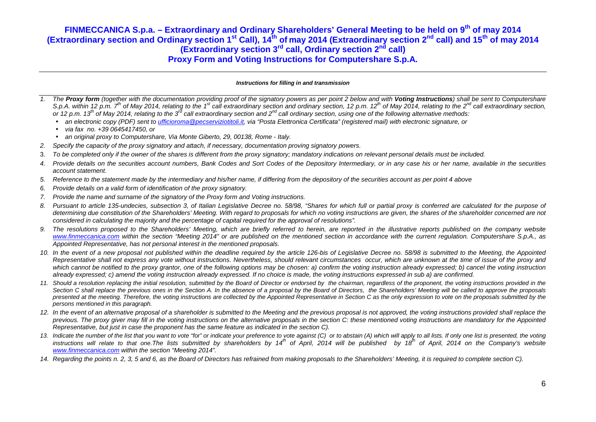#### **Instructions for filling in and transmission**

- 1. The **Proxy form** (together with the documentation providing proof of the signatory powers as per point 2 below and with **Voting Instructions**) shall be sent to Computershare S.p.A. within 12 p.m.  $7<sup>th</sup>$  of May 2014, relating to the 1<sup>st</sup> call extraordinary section and ordinary section, 12 p.m. 12<sup>th</sup> of May 2014, relating to the 2<sup>nd</sup> call extraordinary section, or 12 p.m. 13<sup>th</sup> of May 2014, relating to the 3<sup>rd</sup> call extraordinary section and 2<sup>nd</sup> call ordinary section, using one of the following alternative methods:
	- an electronic copy (PDF) sent to ufficioroma@pecserviziotitoli.it, via "Posta Elettronica Certificata" (registered mail) with electronic signature, or
	- •via fax no. +39 0645417450, or
	- •an original proxy to Computershare, Via Monte Giberto, 29, 00138, Rome - Italy.
- 2. Specify the capacity of the proxy signatory and attach, if necessary, documentation proving signatory powers.
- 3. To be completed only if the owner of the shares is different from the proxy signatory; mandatory indications on relevant personal details must be included.
- 4. Provide details on the securities account numbers, Bank Codes and Sort Codes of the Depository Intermediary, or in any case his or her name, available in the securities account statement.
- 5. Reference to the statement made by the intermediary and his/her name, if differing from the depository of the securities account as per point 4 above
- 6. Provide details on a valid form of identification of the proxy signatory.
- 7. Provide the name and surname of the signatory of the Proxy form and Voting instructions.
- 8. Pursuant to article 135-undecies, subsection 3, of Italian Legislative Decree no. 58/98, "Shares for which full or partial proxy is conferred are calculated for the purpose of determining due constitution of the Shareholders' Meeting. With regard to proposals for which no voting instructions are given, the shares of the shareholder concerned are not considered in calculating the majority and the percentage of capital required for the approval of resolutions".
- 9. The resolutions proposed to the Shareholders' Meeting, which are briefly referred to herein, are reported in the illustrative reports published on the company website www.finmeccanica.com within the section "Meeting 2014" or are published on the mentioned section in accordance with the current regulation. Computershare S.p.A., as Appointed Representative, has not personal interest in the mentioned proposals.
- 10. In the event of a new proposal not published within the deadline required by the article 126-bis of Legislative Decree no. 58/98 is submitted to the Meeting, the Appointed Representative shall not express any vote without instructions. Nevertheless, should relevant circumstances occur, which are unknown at the time of issue of the proxy and which cannot be notified to the proxy grantor, one of the following options may be chosen: a) confirm the voting instruction already expressed; b) cancel the voting instruction already expressed; c) amend the voting instruction already expressed. If no choice is made, the voting instructions expressed in sub a) are confirmed.
- 11. Should a resolution replacing the initial resolution, submitted by the Board of Director or endorsed by the chairman, regardless of the proponent, the voting instructions provided in the Section C shall replace the previous ones in the Section A. In the absence of a proposal by the Board of Directors, the Shareholders' Meeting will be called to approve the proposals presented at the meeting. Therefore, the voting instructions are collected by the Appointed Representative in Section C as the only expression to vote on the proposals submitted by the persons mentioned in this paragraph.
- 12. In the event of an alternative proposal of a shareholder is submitted to the Meeting and the previous proposal is not approved, the voting instructions provided shall replace the previous. The proxy giver may fill in the voting instructions on the alternative proposals in the section C: these mentioned voting instructions are mandatory for the Appointed Representative, but just in case the proponent has the same feature as indicated in the section C).
- 13. Indicate the number of the list that you want to vote "for" or indicate your preference to vote against (C) or to abstain (A) which will apply to all lists. If only one list is presented, the voting instructions will relate to that one.The lists submitted by shareholders by 14<sup>th</sup> of April, 2014 will be published by 18<sup>th</sup> of April, 2014 on the Company's website www.finmeccanica.com within the section "Meeting 2014".
- 14. Regarding the points n. 2, 3, 5 and 6, as the Board of Directors has refrained from making proposals to the Shareholders' Meeting, it is required to complete section C).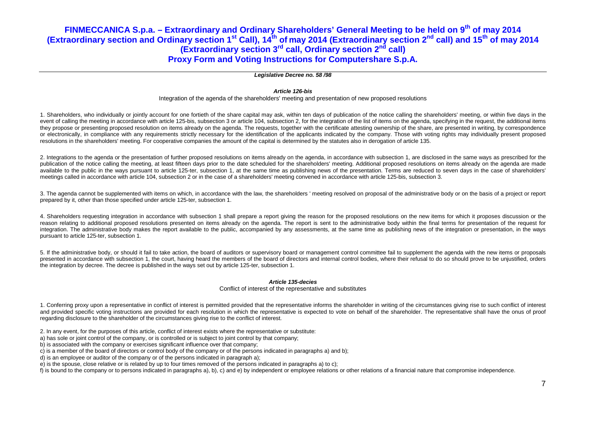#### **Legislative Decree no. 58 /98**

#### **Article 126-bis**

#### Integration of the agenda of the shareholders' meeting and presentation of new proposed resolutions

1. Shareholders, who individually or jointly account for one fortieth of the share capital may ask, within ten days of publication of the notice calling the shareholders' meeting, or within five days in the event of calling the meeting in accordance with article 125-bis, subsection 3 or article 104, subsection 2, for the integration of the list of items on the agenda, specifying in the request, the additional items they propose or presenting proposed resolution on items already on the agenda. The requests, together with the certificate attesting ownership of the share, are presented in writing, by correspondence or electronically, in compliance with any requirements strictly necessary for the identification of the applicants indicated by the company. Those with voting rights may individually present proposed resolutions in the shareholders' meeting. For cooperative companies the amount of the capital is determined by the statutes also in derogation of article 135.

2. Integrations to the agenda or the presentation of further proposed resolutions on items already on the agenda, in accordance with subsection 1, are disclosed in the same ways as prescribed for the publication of the notice calling the meeting, at least fifteen days prior to the date scheduled for the shareholders' meeting. Additional proposed resolutions on items already on the agenda are made available to the public in the ways pursuant to article 125-ter, subsection 1, at the same time as publishing news of the presentation. Terms are reduced to seven days in the case of shareholders' meetings called in accordance with article 104, subsection 2 or in the case of a shareholders' meeting convened in accordance with article 125-bis, subsection 3.

3. The agenda cannot be supplemented with items on which, in accordance with the law, the shareholders ' meeting resolved on proposal of the administrative body or on the basis of a project or report prepared by it, other than those specified under article 125-ter, subsection 1.

4. Shareholders requesting integration in accordance with subsection 1 shall prepare a report giving the reason for the proposed resolutions on the new items for which it proposes discussion or the reason relating to additional proposed resolutions presented on items already on the agenda. The report is sent to the administrative body within the final terms for presentation of the request for integration. The administrative body makes the report available to the public, accompanied by any assessments, at the same time as publishing news of the integration or presentation, in the ways pursuant to article 125-ter, subsection 1.

5. If the administrative body, or should it fail to take action, the board of auditors or supervisory board or management control committee fail to supplement the agenda with the new items or proposals presented in accordance with subsection 1, the court, having heard the members of the board of directors and internal control bodies, where their refusal to do so should prove to be unjustified, orders the integration by decree. The decree is published in the ways set out by article 125-ter, subsection 1.

#### **Article 135-decies**

#### Conflict of interest of the representative and substitutes

1. Conferring proxy upon a representative in conflict of interest is permitted provided that the representative informs the shareholder in writing of the circumstances giving rise to such conflict of interest and provided specific voting instructions are provided for each resolution in which the representative is expected to vote on behalf of the shareholder. The representative shall have the onus of proof regarding disclosure to the shareholder of the circumstances giving rise to the conflict of interest.

- 2. In any event, for the purposes of this article, conflict of interest exists where the representative or substitute:
- a) has sole or joint control of the company, or is controlled or is subject to joint control by that company;
- b) is associated with the company or exercises significant influence over that company;
- c) is a member of the board of directors or control body of the company or of the persons indicated in paragraphs a) and b);
- d) is an employee or auditor of the company or of the persons indicated in paragraph a);
- e) is the spouse, close relative or is related by up to four times removed of the persons indicated in paragraphs a) to c);
- f) is bound to the company or to persons indicated in paragraphs a), b), c) and e) by independent or employee relations or other relations of a financial nature that compromise independence.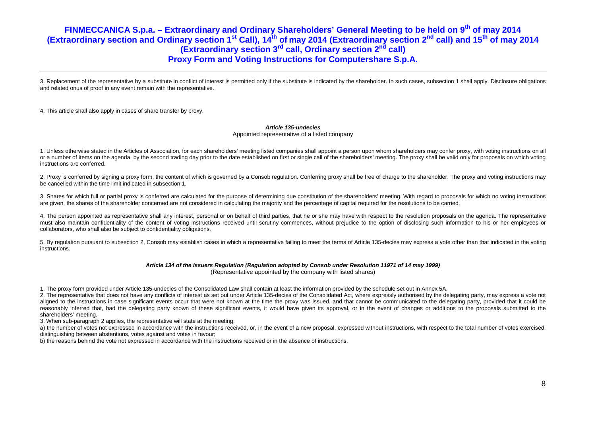3. Replacement of the representative by a substitute in conflict of interest is permitted only if the substitute is indicated by the shareholder. In such cases, subsection 1 shall apply. Disclosure obligations and related onus of proof in any event remain with the representative.

4. This article shall also apply in cases of share transfer by proxy.

#### **Article 135-undecies**

Appointed representative of a listed company

1. Unless otherwise stated in the Articles of Association, for each shareholders' meeting listed companies shall appoint a person upon whom shareholders may confer proxy, with voting instructions on all or a number of items on the agenda, by the second trading day prior to the date established on first or single call of the shareholders' meeting. The proxy shall be valid only for proposals on which voting instructions are conferred.

2. Proxy is conferred by signing a proxy form, the content of which is governed by a Consob regulation. Conferring proxy shall be free of charge to the shareholder. The proxy and voting instructions may be cancelled within the time limit indicated in subsection 1.

3. Shares for which full or partial proxy is conferred are calculated for the purpose of determining due constitution of the shareholders' meeting. With regard to proposals for which no voting instructions are given, the shares of the shareholder concerned are not considered in calculating the majority and the percentage of capital required for the resolutions to be carried.

4. The person appointed as representative shall any interest, personal or on behalf of third parties, that he or she may have with respect to the resolution proposals on the agenda. The representative must also maintain confidentiality of the content of voting instructions received until scrutiny commences, without prejudice to the option of disclosing such information to his or her employees or collaborators, who shall also be subject to confidentiality obligations.

5. By regulation pursuant to subsection 2, Consob may establish cases in which a representative failing to meet the terms of Article 135-decies may express a vote other than that indicated in the voting instructions.

#### **Article 134 of the Issuers Regulation (Regulation adopted by Consob under Resolution 11971 of 14 may 1999)**

(Representative appointed by the company with listed shares)

1. The proxy form provided under Article 135-undecies of the Consolidated Law shall contain at least the information provided by the schedule set out in Annex 5A.

2. The representative that does not have any conflicts of interest as set out under Article 135-decies of the Consolidated Act, where expressly authorised by the delegating party, may express a vote not aligned to the instructions in case significant events occur that were not known at the time the proxy was issued, and that cannot be communicated to the delegating party, provided that it could be reasonably inferred that, had the delegating party known of these significant events, it would have given its approval, or in the event of changes or additions to the proposals submitted to the shareholders' meeting.

3. When sub-paragraph 2 applies, the representative will state at the meeting:

a) the number of votes not expressed in accordance with the instructions received, or, in the event of a new proposal, expressed without instructions, with respect to the total number of votes exercised, distinguishing between abstentions, votes against and votes in favour;

b) the reasons behind the vote not expressed in accordance with the instructions received or in the absence of instructions.